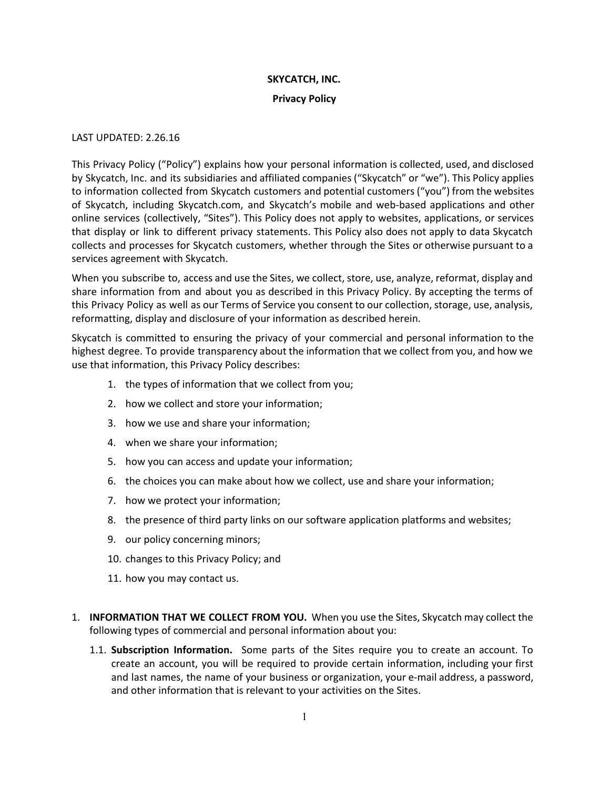## **SKYCATCH, INC.**

## **Privacy Policy**

## LAST UPDATED: 2.26.16

This Privacy Policy ("Policy") explains how your personal information is collected, used, and disclosed by Skycatch, Inc. and its subsidiaries and affiliated companies ("Skycatch" or "we"). This Policy applies to information collected from Skycatch customers and potential customers ("you") from the websites of Skycatch, including Skycatch.com, and Skycatch's mobile and web-based applications and other online services (collectively, "Sites"). This Policy does not apply to websites, applications, or services that display or link to different privacy statements. This Policy also does not apply to data Skycatch collects and processes for Skycatch customers, whether through the Sites or otherwise pursuant to a services agreement with Skycatch.

When you subscribe to, access and use the Sites, we collect, store, use, analyze, reformat, display and share information from and about you as described in this Privacy Policy. By accepting the terms of this Privacy Policy as well as our Terms of Service you consent to our collection, storage, use, analysis, reformatting, display and disclosure of your information as described herein.

Skycatch is committed to ensuring the privacy of your commercial and personal information to the highest degree. To provide transparency about the information that we collect from you, and how we use that information, this Privacy Policy describes:

- 1. the types of information that we collect from you;
- 2. how we collect and store your information;
- 3. how we use and share your information;
- 4. when we share your information;
- 5. how you can access and update your information;
- 6. the choices you can make about how we collect, use and share your information;
- 7. how we protect your information;
- 8. the presence of third party links on our software application platforms and websites;
- 9. our policy concerning minors;
- 10. changes to this Privacy Policy; and
- 11. how you may contact us.
- 1. **INFORMATION THAT WE COLLECT FROM YOU.** When you use the Sites, Skycatch may collect the following types of commercial and personal information about you:
	- 1.1. **Subscription Information.** Some parts of the Sites require you to create an account. To create an account, you will be required to provide certain information, including your first and last names, the name of your business or organization, your e-mail address, a password, and other information that is relevant to your activities on the Sites.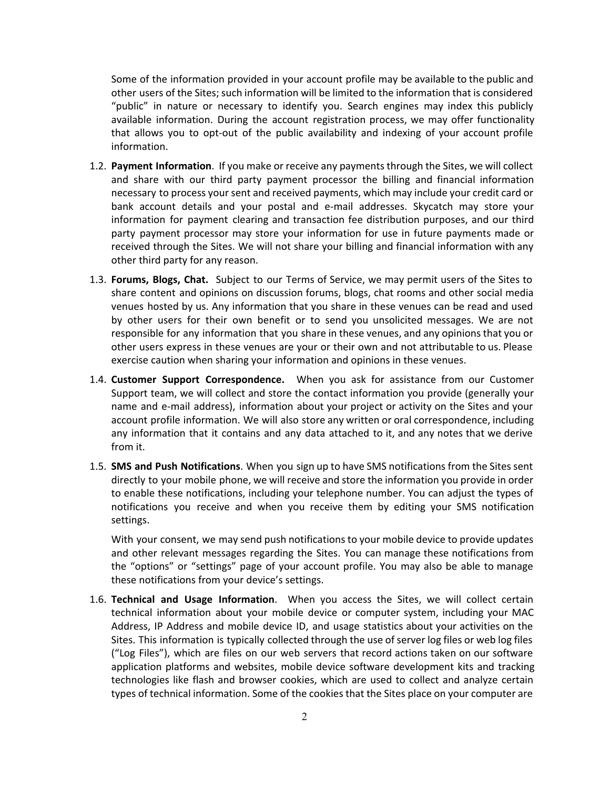Some of the information provided in your account profile may be available to the public and other users of the Sites; such information will be limited to the information that is considered "public" in nature or necessary to identify you. Search engines may index this publicly available information. During the account registration process, we may offer functionality that allows you to opt-out of the public availability and indexing of your account profile information.

- 1.2. **Payment Information**. If you make or receive any payments through the Sites, we will collect and share with our third party payment processor the billing and financial information necessary to process your sent and received payments, which may include your credit card or bank account details and your postal and e-mail addresses. Skycatch may store your information for payment clearing and transaction fee distribution purposes, and our third party payment processor may store your information for use in future payments made or received through the Sites. We will not share your billing and financial information with any other third party for any reason.
- 1.3. **Forums, Blogs, Chat.** Subject to our Terms of Service, we may permit users of the Sites to share content and opinions on discussion forums, blogs, chat rooms and other social media venues hosted by us. Any information that you share in these venues can be read and used by other users for their own benefit or to send you unsolicited messages. We are not responsible for any information that you share in these venues, and any opinions that you or other users express in these venues are your or their own and not attributable to us. Please exercise caution when sharing your information and opinions in these venues.
- 1.4. **Customer Support Correspondence.** When you ask for assistance from our Customer Support team, we will collect and store the contact information you provide (generally your name and e-mail address), information about your project or activity on the Sites and your account profile information. We will also store any written or oral correspondence, including any information that it contains and any data attached to it, and any notes that we derive from it.
- 1.5. **SMS and Push Notifications**. When you sign up to have SMS notifications from the Sites sent directly to your mobile phone, we will receive and store the information you provide in order to enable these notifications, including your telephone number. You can adjust the types of notifications you receive and when you receive them by editing your SMS notification settings.

With your consent, we may send push notifications to your mobile device to provide updates and other relevant messages regarding the Sites. You can manage these notifications from the "options" or "settings" page of your account profile. You may also be able to manage these notifications from your device's settings.

1.6. **Technical and Usage Information**. When you access the Sites, we will collect certain technical information about your mobile device or computer system, including your MAC Address, IP Address and mobile device ID, and usage statistics about your activities on the Sites. This information is typically collected through the use of server log files or web log files ("Log Files"), which are files on our web servers that record actions taken on our software application platforms and websites, mobile device software development kits and tracking technologies like flash and browser cookies, which are used to collect and analyze certain types of technical information. Some of the cookies that the Sites place on your computer are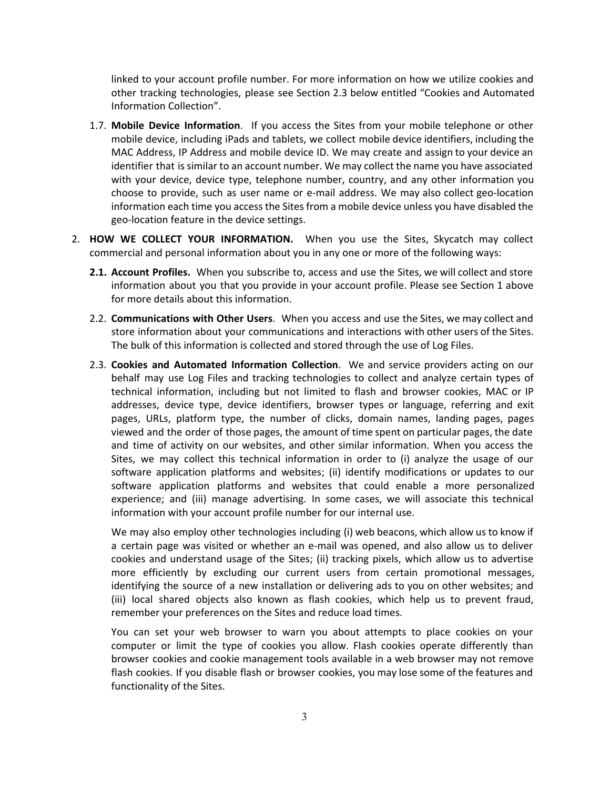linked to your account profile number. For more information on how we utilize cookies and other tracking technologies, please see Section 2.3 below entitled "Cookies and Automated Information Collection".

- 1.7. **Mobile Device Information**. If you access the Sites from your mobile telephone or other mobile device, including iPads and tablets, we collect mobile device identifiers, including the MAC Address, IP Address and mobile device ID. We may create and assign to your device an identifier that is similar to an account number. We may collect the name you have associated with your device, device type, telephone number, country, and any other information you choose to provide, such as user name or e-mail address. We may also collect geo-location information each time you access the Sites from a mobile device unless you have disabled the geo-location feature in the device settings.
- 2. **HOW WE COLLECT YOUR INFORMATION.** When you use the Sites, Skycatch may collect commercial and personal information about you in any one or more of the following ways:
	- **2.1. Account Profiles.** When you subscribe to, access and use the Sites, we will collect and store information about you that you provide in your account profile. Please see Section 1 above for more details about this information.
	- 2.2. **Communications with Other Users**. When you access and use the Sites, we may collect and store information about your communications and interactions with other users of the Sites. The bulk of this information is collected and stored through the use of Log Files.
	- 2.3. **Cookies and Automated Information Collection**. We and service providers acting on our behalf may use Log Files and tracking technologies to collect and analyze certain types of technical information, including but not limited to flash and browser cookies, MAC or IP addresses, device type, device identifiers, browser types or language, referring and exit pages, URLs, platform type, the number of clicks, domain names, landing pages, pages viewed and the order of those pages, the amount of time spent on particular pages, the date and time of activity on our websites, and other similar information. When you access the Sites, we may collect this technical information in order to (i) analyze the usage of our software application platforms and websites; (ii) identify modifications or updates to our software application platforms and websites that could enable a more personalized experience; and (iii) manage advertising. In some cases, we will associate this technical information with your account profile number for our internal use.

We may also employ other technologies including (i) web beacons, which allow us to know if a certain page was visited or whether an e-mail was opened, and also allow us to deliver cookies and understand usage of the Sites; (ii) tracking pixels, which allow us to advertise more efficiently by excluding our current users from certain promotional messages, identifying the source of a new installation or delivering ads to you on other websites; and (iii) local shared objects also known as flash cookies, which help us to prevent fraud, remember your preferences on the Sites and reduce load times.

You can set your web browser to warn you about attempts to place cookies on your computer or limit the type of cookies you allow. Flash cookies operate differently than browser cookies and cookie management tools available in a web browser may not remove flash cookies. If you disable flash or browser cookies, you may lose some of the features and functionality of the Sites.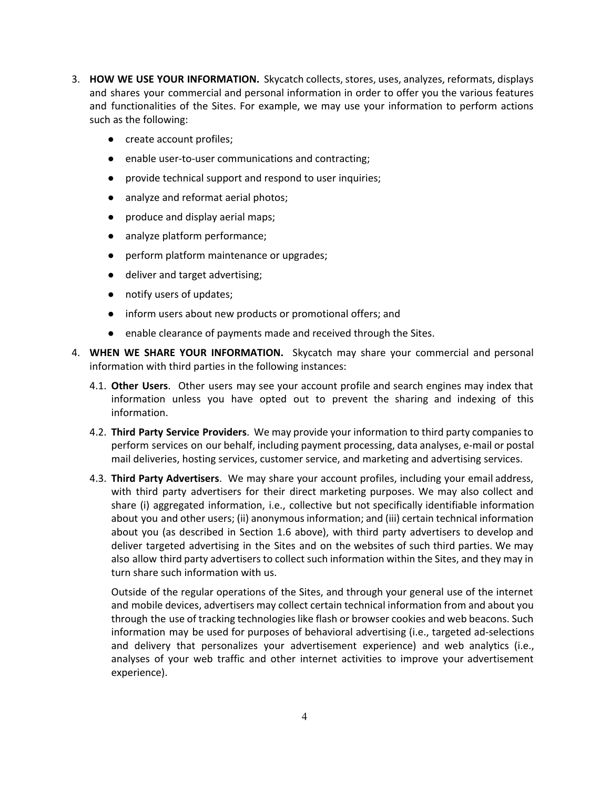- 3. **HOW WE USE YOUR INFORMATION.** Skycatch collects, stores, uses, analyzes, reformats, displays and shares your commercial and personal information in order to offer you the various features and functionalities of the Sites. For example, we may use your information to perform actions such as the following:
	- create account profiles;
	- enable user-to-user communications and contracting;
	- provide technical support and respond to user inquiries;
	- analyze and reformat aerial photos;
	- produce and display aerial maps;
	- analyze platform performance;
	- perform platform maintenance or upgrades;
	- deliver and target advertising;
	- notify users of updates;
	- inform users about new products or promotional offers; and
	- enable clearance of payments made and received through the Sites.
- 4. **WHEN WE SHARE YOUR INFORMATION.** Skycatch may share your commercial and personal information with third parties in the following instances:
	- 4.1. **Other Users**. Other users may see your account profile and search engines may index that information unless you have opted out to prevent the sharing and indexing of this information.
	- 4.2. **Third Party Service Providers**. We may provide your information to third party companies to perform services on our behalf, including payment processing, data analyses, e-mail or postal mail deliveries, hosting services, customer service, and marketing and advertising services.
	- 4.3. **Third Party Advertisers**. We may share your account profiles, including your email address, with third party advertisers for their direct marketing purposes. We may also collect and share (i) aggregated information, i.e., collective but not specifically identifiable information about you and other users; (ii) anonymous information; and (iii) certain technical information about you (as described in Section 1.6 above), with third party advertisers to develop and deliver targeted advertising in the Sites and on the websites of such third parties. We may also allow third party advertisers to collect such information within the Sites, and they may in turn share such information with us.

Outside of the regular operations of the Sites, and through your general use of the internet and mobile devices, advertisers may collect certain technical information from and about you through the use of tracking technologies like flash or browser cookies and web beacons. Such information may be used for purposes of behavioral advertising (i.e., targeted ad-selections and delivery that personalizes your advertisement experience) and web analytics (i.e., analyses of your web traffic and other internet activities to improve your advertisement experience).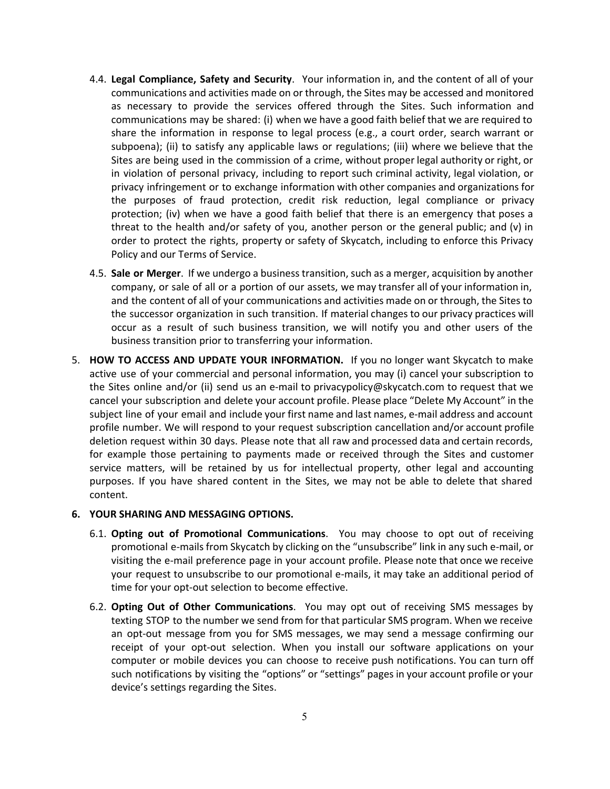- 4.4. **Legal Compliance, Safety and Security**. Your information in, and the content of all of your communications and activities made on or through, the Sites may be accessed and monitored as necessary to provide the services offered through the Sites. Such information and communications may be shared: (i) when we have a good faith belief that we are required to share the information in response to legal process (e.g., a court order, search warrant or subpoena); (ii) to satisfy any applicable laws or regulations; (iii) where we believe that the Sites are being used in the commission of a crime, without proper legal authority or right, or in violation of personal privacy, including to report such criminal activity, legal violation, or privacy infringement or to exchange information with other companies and organizations for the purposes of fraud protection, credit risk reduction, legal compliance or privacy protection; (iv) when we have a good faith belief that there is an emergency that poses a threat to the health and/or safety of you, another person or the general public; and (v) in order to protect the rights, property or safety of Skycatch, including to enforce this Privacy Policy and our Terms of Service.
- 4.5. **Sale or Merger**. If we undergo a business transition, such as a merger, acquisition by another company, or sale of all or a portion of our assets, we may transfer all of your information in, and the content of all of your communications and activities made on or through, the Sites to the successor organization in such transition. If material changes to our privacy practices will occur as a result of such business transition, we will notify you and other users of the business transition prior to transferring your information.
- 5. **HOW TO ACCESS AND UPDATE YOUR INFORMATION.** If you no longer want Skycatch to make active use of your commercial and personal information, you may (i) cancel your subscription to the Sites online and/or (ii) send us an e-mail to privacypolicy@skycatch.com to request that we cancel your subscription and delete your account profile. Please place "Delete My Account" in the subject line of your email and include your first name and last names, email address and account profile number. We will respond to your request subscription cancellation and/or account profile deletion request within 30 days. Please note that all raw and processed data and certain records, for example those pertaining to payments made or received through the Sites and customer service matters, will be retained by us for intellectual property, other legal and accounting purposes. If you have shared content in the Sites, we may not be able to delete that shared content.

## **6. YOUR SHARING AND MESSAGING OPTIONS.**

- 6.1. **Opting out of Promotional Communications**. You may choose to opt out of receiving promotional e-mails from Skycatch by clicking on the "unsubscribe" link in any such e-mail, or visiting the email preference page in your account profile. Please note that once we receive your request to unsubscribe to our promotional e-mails, it may take an additional period of time for your opt-out selection to become effective.
- 6.2. **Opting Out of Other Communications**. You may opt out of receiving SMS messages by texting STOP to the number we send from for that particular SMS program. When we receive an opt-out message from you for SMS messages, we may send a message confirming our receipt of your opt-out selection. When you install our software applications on your computer or mobile devices you can choose to receive push notifications. You can turn off such notifications by visiting the "options" or "settings" pages in your account profile or your device's settings regarding the Sites.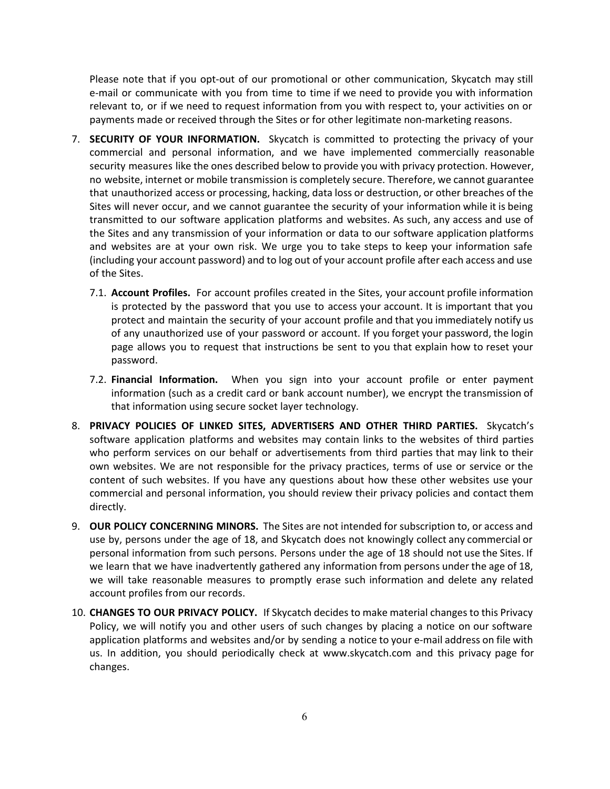Please note that if you opt-out of our promotional or other communication, Skycatch may still e-mail or communicate with you from time to time if we need to provide you with information relevant to, or if we need to request information from you with respect to, your activities on or payments made or received through the Sites or for other legitimate non-marketing reasons.

- 7. **SECURITY OF YOUR INFORMATION.** Skycatch is committed to protecting the privacy of your commercial and personal information, and we have implemented commercially reasonable security measures like the ones described below to provide you with privacy protection. However, no website, internet or mobile transmission is completely secure. Therefore, we cannot guarantee that unauthorized access or processing, hacking, data loss or destruction, or other breaches of the Sites will never occur, and we cannot guarantee the security of your information while it is being transmitted to our software application platforms and websites. As such, any access and use of the Sites and any transmission of your information or data to our software application platforms and websites are at your own risk. We urge you to take steps to keep your information safe (including your account password) and to log out of your account profile after each access and use of the Sites.
	- 7.1. **Account Profiles.** For account profiles created in the Sites, your account profile information is protected by the password that you use to access your account. It is important that you protect and maintain the security of your account profile and that you immediately notify us of any unauthorized use of your password or account. If you forget your password, the login page allows you to request that instructions be sent to you that explain how to reset your password.
	- 7.2. **Financial Information.** When you sign into your account profile or enter payment information (such as a credit card or bank account number), we encrypt the transmission of that information using secure socket layer technology.
- 8. **PRIVACY POLICIES OF LINKED SITES, ADVERTISERS AND OTHER THIRD PARTIES.** Skycatch's software application platforms and websites may contain links to the websites of third parties who perform services on our behalf or advertisements from third parties that may link to their own websites. We are not responsible for the privacy practices, terms of use or service or the content of such websites. If you have any questions about how these other websites use your commercial and personal information, you should review their privacy policies and contact them directly.
- 9. **OUR POLICY CONCERNING MINORS.** The Sites are not intended for subscription to, or access and use by, persons under the age of 18, and Skycatch does not knowingly collect any commercial or personal information from such persons. Persons under the age of 18 should not use the Sites. If we learn that we have inadvertently gathered any information from persons under the age of 18, we will take reasonable measures to promptly erase such information and delete any related account profiles from our records.
- 10. **CHANGES TO OUR PRIVACY POLICY.** If Skycatch decides to make material changes to this Privacy Policy, we will notify you and other users of such changes by placing a notice on our software application platforms and websites and/or by sending a notice to your e-mail address on file with us. In addition, you should periodically check at www.skycatch.com and this privacy page for changes.